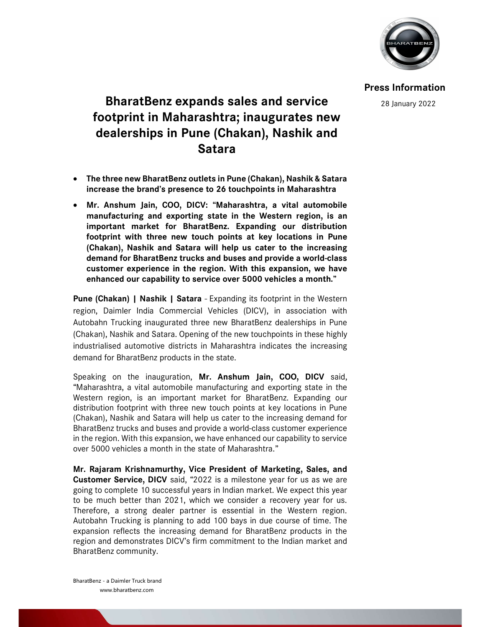

Press Information

28 January 2022

## BharatBenz expands sales and service footprint in Maharashtra; inaugurates new dealerships in Pune (Chakan), Nashik and Satara

- The three new BharatBenz outlets in Pune (Chakan), Nashik & Satara increase the brand's presence to 26 touchpoints in Maharashtra
- Mr. Anshum Jain, COO, DICV: "Maharashtra, a vital automobile manufacturing and exporting state in the Western region, is an important market for BharatBenz. Expanding our distribution footprint with three new touch points at key locations in Pune (Chakan), Nashik and Satara will help us cater to the increasing demand for BharatBenz trucks and buses and provide a world-class customer experience in the region. With this expansion, we have enhanced our capability to service over 5000 vehicles a month."

Pune (Chakan) | Nashik | Satara - Expanding its footprint in the Western region, Daimler India Commercial Vehicles (DICV), in association with Autobahn Trucking inaugurated three new BharatBenz dealerships in Pune (Chakan), Nashik and Satara. Opening of the new touchpoints in these highly industrialised automotive districts in Maharashtra indicates the increasing demand for BharatBenz products in the state.

Speaking on the inauguration, Mr. Anshum Jain, COO, DICV said, "Maharashtra, a vital automobile manufacturing and exporting state in the Western region, is an important market for BharatBenz. Expanding our distribution footprint with three new touch points at key locations in Pune (Chakan), Nashik and Satara will help us cater to the increasing demand for BharatBenz trucks and buses and provide a world-class customer experience in the region. With this expansion, we have enhanced our capability to service over 5000 vehicles a month in the state of Maharashtra."

Mr. Rajaram Krishnamurthy, Vice President of Marketing, Sales, and Customer Service, DICV said, "2022 is a milestone year for us as we are going to complete 10 successful years in Indian market. We expect this year to be much better than 2021, which we consider a recovery year for us. Therefore, a strong dealer partner is essential in the Western region. Autobahn Trucking is planning to add 100 bays in due course of time. The expansion reflects the increasing demand for BharatBenz products in the region and demonstrates DICV's firm commitment to the Indian market and BharatBenz community.

BharatBenz - a Daimler Truck brand www.bharatbenz.com

L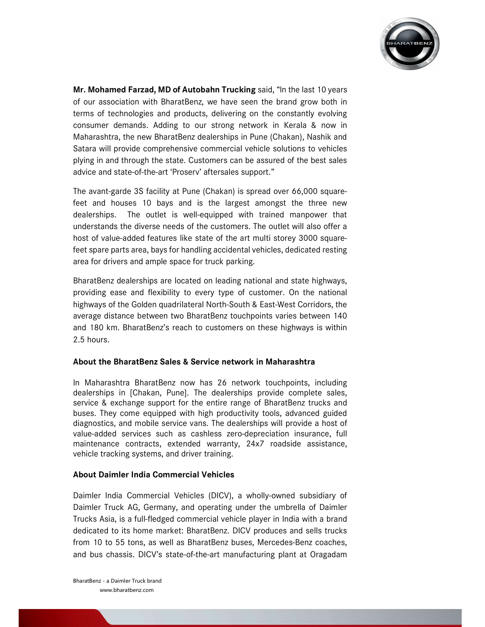

Mr. Mohamed Farzad, MD of Autobahn Trucking said, "In the last 10 years of our association with BharatBenz, we have seen the brand grow both in terms of technologies and products, delivering on the constantly evolving consumer demands. Adding to our strong network in Kerala & now in Maharashtra, the new BharatBenz dealerships in Pune (Chakan), Nashik and Satara will provide comprehensive commercial vehicle solutions to vehicles plying in and through the state. Customers can be assured of the best sales advice and state-of-the-art 'Proserv' aftersales support."

The avant-garde 3S facility at Pune (Chakan) is spread over 66,000 squarefeet and houses 10 bays and is the largest amongst the three new dealerships. The outlet is well-equipped with trained manpower that understands the diverse needs of the customers. The outlet will also offer a host of value-added features like state of the art multi storey 3000 squarefeet spare parts area, bays for handling accidental vehicles, dedicated resting area for drivers and ample space for truck parking.

BharatBenz dealerships are located on leading national and state highways, providing ease and flexibility to every type of customer. On the national highways of the Golden quadrilateral North-South & East-West Corridors, the average distance between two BharatBenz touchpoints varies between 140 and 180 km. BharatBenz's reach to customers on these highways is within 2.5 hours.

## About the BharatBenz Sales & Service network in Maharashtra

In Maharashtra BharatBenz now has 26 network touchpoints, including dealerships in [Chakan, Pune]. The dealerships provide complete sales, service & exchange support for the entire range of BharatBenz trucks and buses. They come equipped with high productivity tools, advanced guided diagnostics, and mobile service vans. The dealerships will provide a host of value-added services such as cashless zero-depreciation insurance, full maintenance contracts, extended warranty, 24x7 roadside assistance, vehicle tracking systems, and driver training.

## About Daimler India Commercial Vehicles

Daimler India Commercial Vehicles (DICV), a wholly-owned subsidiary of Daimler Truck AG, Germany, and operating under the umbrella of Daimler Trucks Asia, is a full-fledged commercial vehicle player in India with a brand dedicated to its home market: BharatBenz. DICV produces and sells trucks from 10 to 55 tons, as well as BharatBenz buses, Mercedes-Benz coaches, and bus chassis. DICV's state-of-the-art manufacturing plant at Oragadam

L